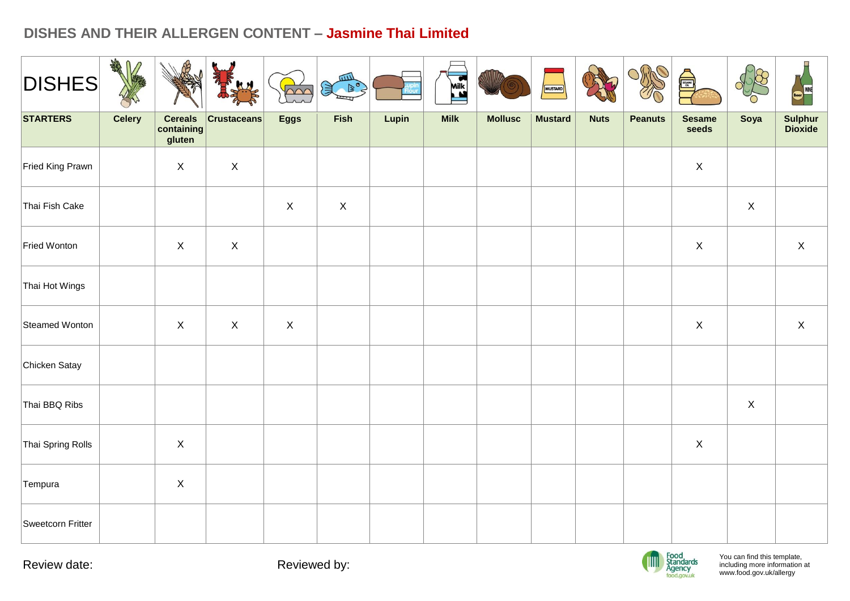# **DISHES AND THEIR ALLERGEN CONTENT – Jasmine Thai Limited**

| <b>DISHES</b>     | AR            |                                        |                    | $\gamma$    | 皿<br>灵 良    |       | Milk        |                | MUSTARD        |             | Office         | A                      |              | <b>WINE</b><br><b>Beer</b> |
|-------------------|---------------|----------------------------------------|--------------------|-------------|-------------|-------|-------------|----------------|----------------|-------------|----------------|------------------------|--------------|----------------------------|
| <b>STARTERS</b>   | <b>Celery</b> | <b>Cereals</b><br>containing<br>gluten | <b>Crustaceans</b> | <b>Eggs</b> | Fish        | Lupin | <b>Milk</b> | <b>Mollusc</b> | <b>Mustard</b> | <b>Nuts</b> | <b>Peanuts</b> | <b>Sesame</b><br>seeds | Soya         | Sulphur<br>Dioxide         |
| Fried King Prawn  |               | $\mathsf{X}$                           | $\mathsf{X}$       |             |             |       |             |                |                |             |                | $\mathsf X$            |              |                            |
| Thai Fish Cake    |               |                                        |                    | $\mathsf X$ | $\mathsf X$ |       |             |                |                |             |                |                        | $\mathsf{X}$ |                            |
| Fried Wonton      |               | $\mathsf X$                            | $\mathsf X$        |             |             |       |             |                |                |             |                | $\mathsf X$            |              | $\mathsf X$                |
| Thai Hot Wings    |               |                                        |                    |             |             |       |             |                |                |             |                |                        |              |                            |
| Steamed Wonton    |               | $\mathsf{X}$                           | $\mathsf{X}$       | $\mathsf X$ |             |       |             |                |                |             |                | $\mathsf X$            |              | $\mathsf X$                |
| Chicken Satay     |               |                                        |                    |             |             |       |             |                |                |             |                |                        |              |                            |
| Thai BBQ Ribs     |               |                                        |                    |             |             |       |             |                |                |             |                |                        | $\mathsf X$  |                            |
| Thai Spring Rolls |               | $\mathsf X$                            |                    |             |             |       |             |                |                |             |                | $\mathsf X$            |              |                            |
| Tempura           |               | $\mathsf X$                            |                    |             |             |       |             |                |                |             |                |                        |              |                            |
| Sweetcorn Fritter |               |                                        |                    |             |             |       |             |                |                |             |                |                        |              |                            |

Review date: The Contract of the Reviewed by:

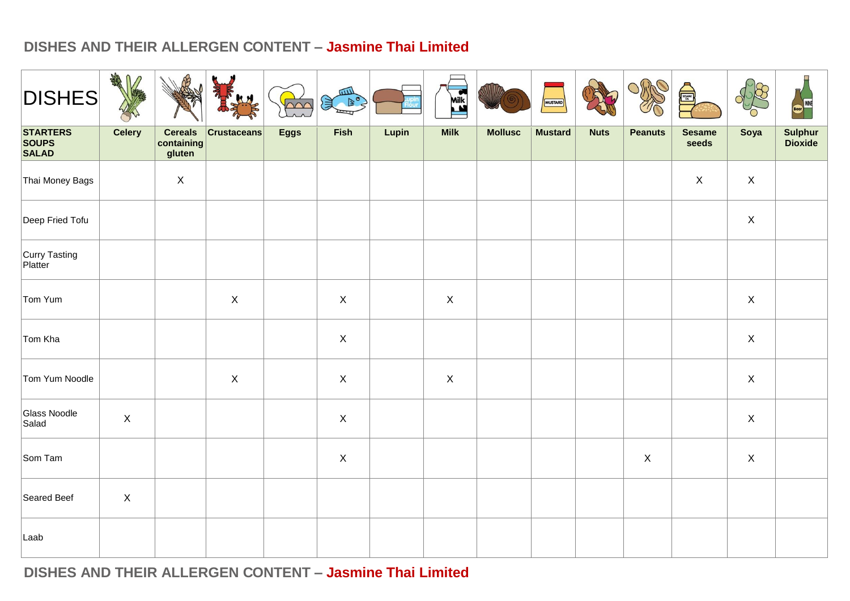## **DISHES AND THEIR ALLERGEN CONTENT – Jasmine Thai Limited**

| <b>DISHES</b>                                   | <b>SARA</b><br>$\bigcap$ |                                        |                    | nnr         | шIJ<br>$\mathbb{R}^{\circ}$<br>J |       | <b>EXECUTE</b>            |                | <b>MUSTARD</b> |             |                | A                      |                  | <b>WINE</b>        |
|-------------------------------------------------|--------------------------|----------------------------------------|--------------------|-------------|----------------------------------|-------|---------------------------|----------------|----------------|-------------|----------------|------------------------|------------------|--------------------|
| <b>STARTERS</b><br><b>SOUPS</b><br><b>SALAD</b> | <b>Celery</b>            | <b>Cereals</b><br>containing<br>gluten | <b>Crustaceans</b> | <b>Eggs</b> | Fish                             | Lupin | <b>Milk</b>               | <b>Mollusc</b> | <b>Mustard</b> | <b>Nuts</b> | <b>Peanuts</b> | <b>Sesame</b><br>seeds | Soya             | Sulphur<br>Dioxide |
| Thai Money Bags                                 |                          | $\mathsf X$                            |                    |             |                                  |       |                           |                |                |             |                | $\mathsf X$            | $\mathsf X$      |                    |
| Deep Fried Tofu                                 |                          |                                        |                    |             |                                  |       |                           |                |                |             |                |                        | $\mathsf X$      |                    |
| Curry Tasting<br>Platter                        |                          |                                        |                    |             |                                  |       |                           |                |                |             |                |                        |                  |                    |
| Tom Yum                                         |                          |                                        | $\mathsf X$        |             | $\mathsf X$                      |       | $\mathsf X$               |                |                |             |                |                        | $\mathsf X$      |                    |
| Tom Kha                                         |                          |                                        |                    |             | $\mathsf X$                      |       |                           |                |                |             |                |                        | $\mathsf X$      |                    |
| Tom Yum Noodle                                  |                          |                                        | $\mathsf X$        |             | $\mathsf X$                      |       | $\boldsymbol{\mathsf{X}}$ |                |                |             |                |                        | $\mathsf X$      |                    |
| Glass Noodle<br>Salad                           | $\mathsf X$              |                                        |                    |             | $\mathsf X$                      |       |                           |                |                |             |                |                        | $\mathsf X$      |                    |
| Som Tam                                         |                          |                                        |                    |             | $\mathsf X$                      |       |                           |                |                |             | $\mathsf X$    |                        | $\boldsymbol{X}$ |                    |
| Seared Beef                                     | $\mathsf X$              |                                        |                    |             |                                  |       |                           |                |                |             |                |                        |                  |                    |
| Laab                                            |                          |                                        |                    |             |                                  |       |                           |                |                |             |                |                        |                  |                    |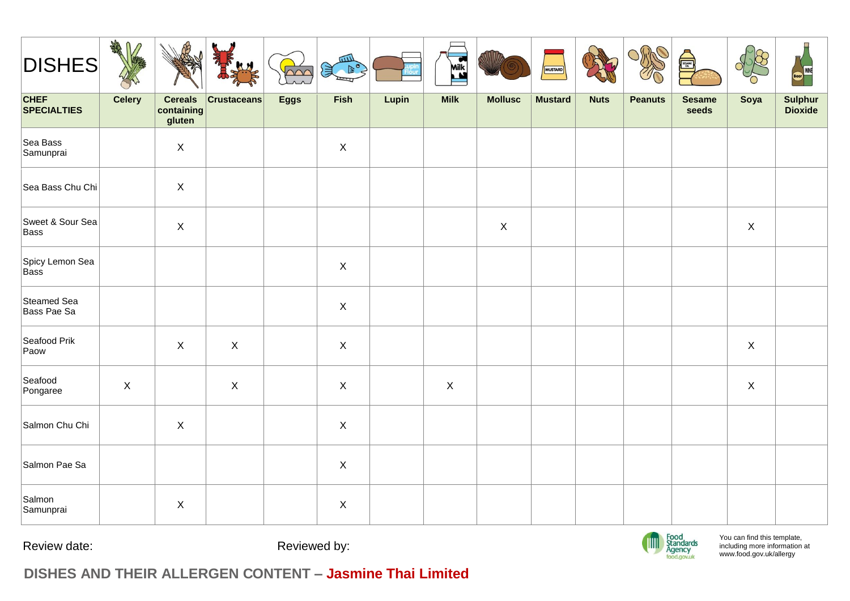| <b>DISHES</b>                     | ARE<br>⋂      |                                        |                    | $\sim$      | <b>GILL</b><br>淳 |       | <b>Mik</b>  |                | MUSTARD        |             | <b>ORP</b>     | S                      |                           | <b>WINE</b>        |
|-----------------------------------|---------------|----------------------------------------|--------------------|-------------|------------------|-------|-------------|----------------|----------------|-------------|----------------|------------------------|---------------------------|--------------------|
| <b>CHEF</b><br><b>SPECIALTIES</b> | <b>Celery</b> | <b>Cereals</b><br>containing<br>gluten | <b>Crustaceans</b> | <b>Eggs</b> | Fish             | Lupin | <b>Milk</b> | <b>Mollusc</b> | <b>Mustard</b> | <b>Nuts</b> | <b>Peanuts</b> | <b>Sesame</b><br>seeds | Soya                      | Sulphur<br>Dioxide |
| Sea Bass<br>Samunprai             |               | $\mathsf{X}$                           |                    |             | $\mathsf{X}$     |       |             |                |                |             |                |                        |                           |                    |
| Sea Bass Chu Chi                  |               | $\mathsf X$                            |                    |             |                  |       |             |                |                |             |                |                        |                           |                    |
| Sweet & Sour Sea<br>Bass          |               | $\mathsf{X}$                           |                    |             |                  |       |             | $\mathsf X$    |                |             |                |                        | $\boldsymbol{\mathsf{X}}$ |                    |
| Spicy Lemon Sea<br>Bass           |               |                                        |                    |             | $\mathsf{X}$     |       |             |                |                |             |                |                        |                           |                    |
| Steamed Sea<br>Bass Pae Sa        |               |                                        |                    |             | $\mathsf X$      |       |             |                |                |             |                |                        |                           |                    |
| Seafood Prik<br>Paow              |               | $\mathsf{X}$                           | $\mathsf{X}$       |             | $\mathsf{X}$     |       |             |                |                |             |                |                        | $\mathsf X$               |                    |
| Seafood<br>Pongaree               | $\mathsf{X}$  |                                        | $\mathsf X$        |             | $\mathsf X$      |       | $\mathsf X$ |                |                |             |                |                        | $\mathsf X$               |                    |
| Salmon Chu Chi                    |               | $\mathsf{X}$                           |                    |             | $\mathsf{X}$     |       |             |                |                |             |                |                        |                           |                    |
| Salmon Pae Sa                     |               |                                        |                    |             | $\mathsf X$      |       |             |                |                |             |                |                        |                           |                    |
| Salmon<br>Samunprai               |               | $\mathsf X$                            |                    |             | $\mathsf X$      |       |             |                |                |             |                |                        |                           |                    |

Review date: The Contract of the Reviewed by:



You can find this template, including more information [at](http://www.food.gov.uk/allergy)  [www.food.gov.uk/allergy](http://www.food.gov.uk/allergy)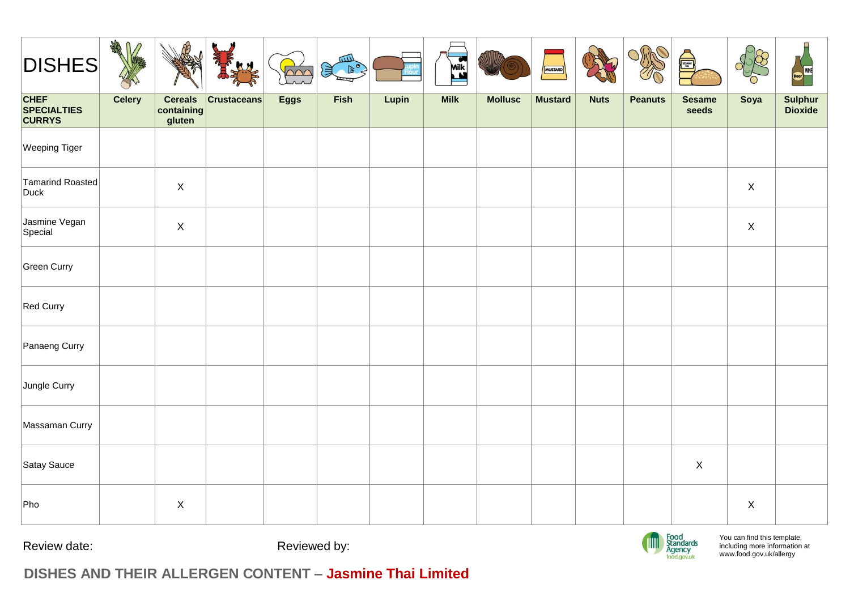| <b>DISHES</b>                                      | AR<br>∩       |                                        |                    | $\sim$      | шI<br>€ |       | <b>ASSES</b> |                | MUSTARD        |             |                | <b>Quality</b>         |                           | W                  |
|----------------------------------------------------|---------------|----------------------------------------|--------------------|-------------|---------|-------|--------------|----------------|----------------|-------------|----------------|------------------------|---------------------------|--------------------|
| <b>CHEF</b><br><b>SPECIALTIES</b><br><b>CURRYS</b> | <b>Celery</b> | <b>Cereals</b><br>containing<br>gluten | <b>Crustaceans</b> | <b>Eggs</b> | Fish    | Lupin | <b>Milk</b>  | <b>Mollusc</b> | <b>Mustard</b> | <b>Nuts</b> | <b>Peanuts</b> | <b>Sesame</b><br>seeds | Soya                      | Sulphur<br>Dioxide |
| <b>Weeping Tiger</b>                               |               |                                        |                    |             |         |       |              |                |                |             |                |                        |                           |                    |
| Tamarind Roasted<br>Duck                           |               | $\mathsf{X}$                           |                    |             |         |       |              |                |                |             |                |                        | $\boldsymbol{\mathsf{X}}$ |                    |
| Jasmine Vegan<br>Special                           |               | $\mathsf{X}$                           |                    |             |         |       |              |                |                |             |                |                        | $\boldsymbol{\mathsf{X}}$ |                    |
| Green Curry                                        |               |                                        |                    |             |         |       |              |                |                |             |                |                        |                           |                    |
| Red Curry                                          |               |                                        |                    |             |         |       |              |                |                |             |                |                        |                           |                    |
| Panaeng Curry                                      |               |                                        |                    |             |         |       |              |                |                |             |                |                        |                           |                    |
| Jungle Curry                                       |               |                                        |                    |             |         |       |              |                |                |             |                |                        |                           |                    |
| Massaman Curry                                     |               |                                        |                    |             |         |       |              |                |                |             |                |                        |                           |                    |
| Satay Sauce                                        |               |                                        |                    |             |         |       |              |                |                |             |                | $\mathsf X$            |                           |                    |
| Pho                                                |               | $\mathsf X$                            |                    |             |         |       |              |                |                |             |                |                        | $\boldsymbol{\mathsf{X}}$ |                    |

Review date:  $\qquad \qquad$  Reviewed by:



You can find this template, including more information [at](http://www.food.gov.uk/allergy)  [www.food.gov.uk/allergy](http://www.food.gov.uk/allergy)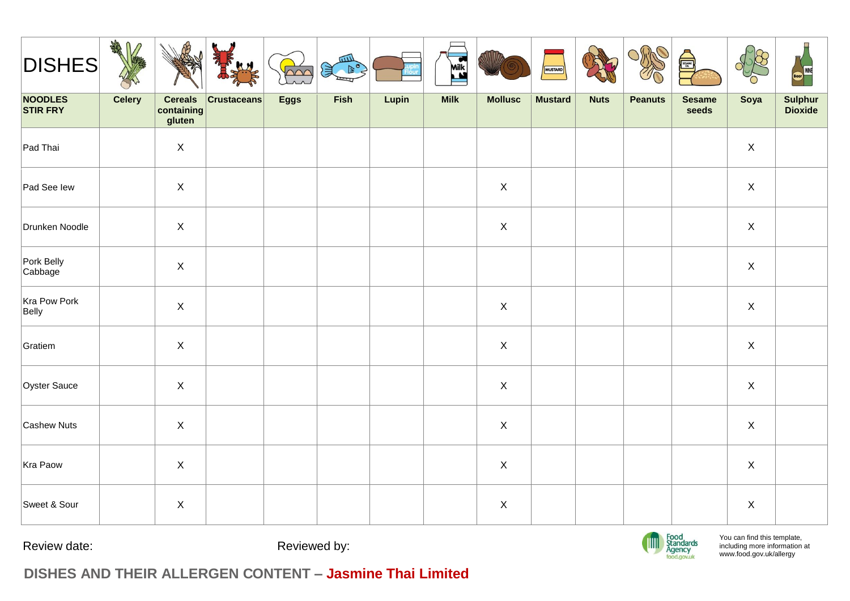| <b>DISHES</b>         | DEA<br>∩      |                                        |                    | $\gamma$    | 仙<br>賞 |       | <b>ASSES</b> |                | MUSTARD        |             | Orfin          | S                      |             | <b>WINE</b>        |
|-----------------------|---------------|----------------------------------------|--------------------|-------------|--------|-------|--------------|----------------|----------------|-------------|----------------|------------------------|-------------|--------------------|
| NOODLES<br>STIR FRY   | <b>Celery</b> | <b>Cereals</b><br>containing<br>gluten | <b>Crustaceans</b> | <b>Eggs</b> | Fish   | Lupin | <b>Milk</b>  | <b>Mollusc</b> | <b>Mustard</b> | <b>Nuts</b> | <b>Peanuts</b> | <b>Sesame</b><br>seeds | Soya        | Sulphur<br>Dioxide |
| Pad Thai              |               | $\mathsf X$                            |                    |             |        |       |              |                |                |             |                |                        | $\mathsf X$ |                    |
| Pad See lew           |               | $\mathsf X$                            |                    |             |        |       |              | $\mathsf X$    |                |             |                |                        | $\mathsf X$ |                    |
| Drunken Noodle        |               | $\mathsf X$                            |                    |             |        |       |              | $\mathsf X$    |                |             |                |                        | $\mathsf X$ |                    |
| Pork Belly<br>Cabbage |               | $\mathsf X$                            |                    |             |        |       |              |                |                |             |                |                        | $\mathsf X$ |                    |
| Kra Pow Pork<br>Belly |               | $\mathsf X$                            |                    |             |        |       |              | $\mathsf X$    |                |             |                |                        | $\mathsf X$ |                    |
| Gratiem               |               | $\mathsf X$                            |                    |             |        |       |              | $\mathsf X$    |                |             |                |                        | $\mathsf X$ |                    |
| Oyster Sauce          |               | $\mathsf{X}$                           |                    |             |        |       |              | $\mathsf{X}$   |                |             |                |                        | $\mathsf X$ |                    |
| Cashew Nuts           |               | $\mathsf X$                            |                    |             |        |       |              | $\mathsf X$    |                |             |                |                        | $\mathsf X$ |                    |
| Kra Paow              |               | $\mathsf X$                            |                    |             |        |       |              | $\mathsf X$    |                |             |                |                        | $\mathsf X$ |                    |
| Sweet & Sour          |               | $\mathsf X$                            |                    |             |        |       |              | $\mathsf X$    |                |             |                |                        | $\mathsf X$ |                    |

Review date:  $\qquad \qquad$  Reviewed by:



You can find this template, including more information [at](http://www.food.gov.uk/allergy)  [www.food.gov.uk/allergy](http://www.food.gov.uk/allergy)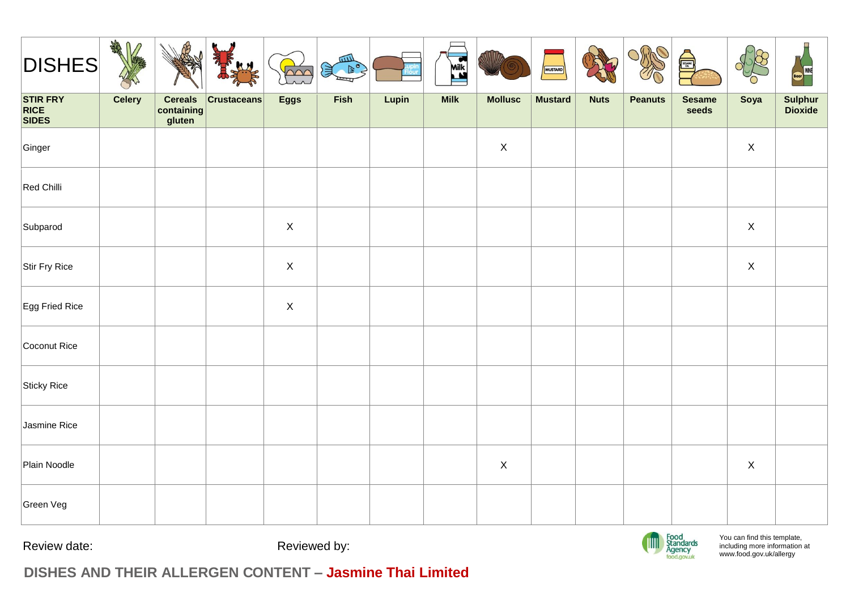| <b>DISHES</b>                                  | <b>CARD</b><br>⋂<br>$\sqrt{2}$ |                                        | <b>KM</b>          | $\sim$      | <b>TILL</b><br>$\triangleright$<br>1 |       | Mik <sub>s</sub> |                | MUSTARD        |             | C)             | <b>Quality</b>         |                           | W                  |
|------------------------------------------------|--------------------------------|----------------------------------------|--------------------|-------------|--------------------------------------|-------|------------------|----------------|----------------|-------------|----------------|------------------------|---------------------------|--------------------|
| <b>STIR FRY</b><br><b>RICE</b><br><b>SIDES</b> | <b>Celery</b>                  | <b>Cereals</b><br>containing<br>gluten | <b>Crustaceans</b> | <b>Eggs</b> | Fish                                 | Lupin | <b>Milk</b>      | <b>Mollusc</b> | <b>Mustard</b> | <b>Nuts</b> | <b>Peanuts</b> | <b>Sesame</b><br>seeds | Soya                      | Sulphur<br>Dioxide |
| Ginger                                         |                                |                                        |                    |             |                                      |       |                  | $\mathsf X$    |                |             |                |                        | $\boldsymbol{\mathsf{X}}$ |                    |
| Red Chilli                                     |                                |                                        |                    |             |                                      |       |                  |                |                |             |                |                        |                           |                    |
| Subparod                                       |                                |                                        |                    | $\mathsf X$ |                                      |       |                  |                |                |             |                |                        | $\boldsymbol{\mathsf{X}}$ |                    |
| Stir Fry Rice                                  |                                |                                        |                    | $\mathsf X$ |                                      |       |                  |                |                |             |                |                        | $\boldsymbol{\mathsf{X}}$ |                    |
| Egg Fried Rice                                 |                                |                                        |                    | $\mathsf X$ |                                      |       |                  |                |                |             |                |                        |                           |                    |
| Coconut Rice                                   |                                |                                        |                    |             |                                      |       |                  |                |                |             |                |                        |                           |                    |
| Sticky Rice                                    |                                |                                        |                    |             |                                      |       |                  |                |                |             |                |                        |                           |                    |
| Jasmine Rice                                   |                                |                                        |                    |             |                                      |       |                  |                |                |             |                |                        |                           |                    |
| Plain Noodle                                   |                                |                                        |                    |             |                                      |       |                  | $\mathsf X$    |                |             |                |                        | $\mathsf X$               |                    |
| Green Veg                                      |                                |                                        |                    |             |                                      |       |                  |                |                |             |                |                        |                           |                    |

Review date:  $\qquad \qquad$  Reviewed by: